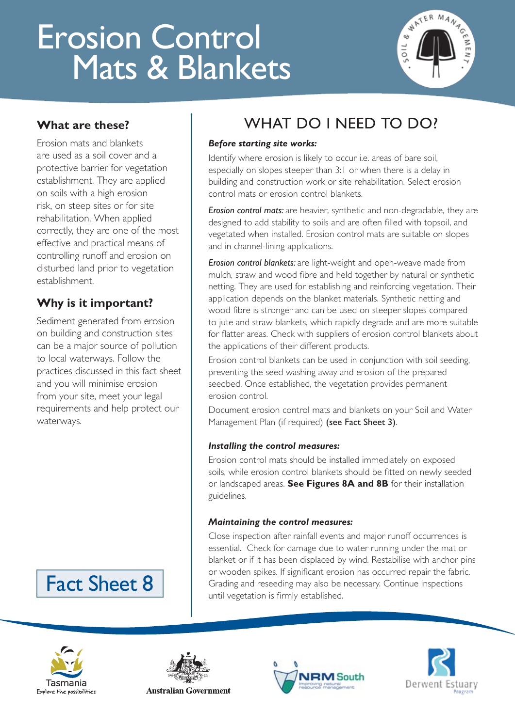# Erosion Control Mats & Blankets



### **What are these?**

Erosion mats and blankets are used as a soil cover and a protective barrier for vegetation establishment. They are applied on soils with a high erosion risk, on steep sites or for site rehabilitation. When applied correctly, they are one of the most effective and practical means of controlling runoff and erosion on disturbed land prior to vegetation establishment.

### **Why is it important?**

Sediment generated from erosion on building and construction sites can be a major source of pollution to local waterways. Follow the practices discussed in this fact sheet and you will minimise erosion from your site, meet your legal requirements and help protect our waterways.

# Fact Sheet 8

## WHAT DO I NEED TO DO?

#### *Before starting site works:*

Identify where erosion is likely to occur i.e. areas of bare soil, especially on slopes steeper than 3:1 or when there is a delay in building and construction work or site rehabilitation. Select erosion control mats or erosion control blankets.

*Erosion control mats:* are heavier, synthetic and non-degradable, they are designed to add stability to soils and are often filled with topsoil, and vegetated when installed. Erosion control mats are suitable on slopes and in channel-lining applications.

*Erosion control blankets:* are light-weight and open-weave made from mulch, straw and wood fibre and held together by natural or synthetic netting. They are used for establishing and reinforcing vegetation. Their application depends on the blanket materials. Synthetic netting and wood fibre is stronger and can be used on steeper slopes compared to jute and straw blankets, which rapidly degrade and are more suitable for flatter areas. Check with suppliers of erosion control blankets about the applications of their different products.

Erosion control blankets can be used in conjunction with soil seeding, preventing the seed washing away and erosion of the prepared seedbed. Once established, the vegetation provides permanent erosion control.

Document erosion control mats and blankets on your Soil and Water Management Plan (if required) (see Fact Sheet 3).

#### *Installing the control measures:*

Erosion control mats should be installed immediately on exposed soils, while erosion control blankets should be fitted on newly seeded or landscaped areas. **See Figures 8A and 8B** for their installation guidelines.

#### *Maintaining the control measures:*

Close inspection after rainfall events and major runoff occurrences is essential. Check for damage due to water running under the mat or blanket or if it has been displaced by wind. Restabilise with anchor pins or wooden spikes. If significant erosion has occurred repair the fabric. Grading and reseeding may also be necessary. Continue inspections until vegetation is firmly established.